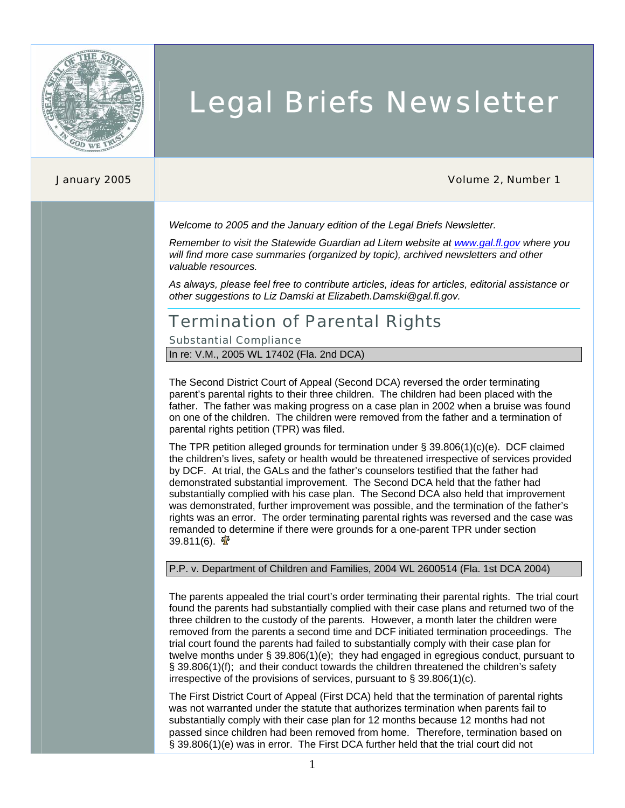

# Legal Briefs Newsletter

#### January 2005 Volume 2, Number 1

*Welcome to 2005 and the January edition of the Legal Briefs Newsletter.* 

*Remember to visit the Statewide Guardian ad Litem website at www.gal.fl.gov where you will find more case summaries (organized by topic), archived newsletters and other valuable resources.* 

*As always, please feel free to contribute articles, ideas for articles, editorial assistance or other suggestions to Liz Damski at Elizabeth.Damski@gal.fl.gov.* 

### Termination of Parental Rights

Substantial Compliance

In re: V.M., 2005 WL 17402 (Fla. 2nd DCA)

The Second District Court of Appeal (Second DCA) reversed the order terminating parent's parental rights to their three children. The children had been placed with the father. The father was making progress on a case plan in 2002 when a bruise was found on one of the children. The children were removed from the father and a termination of parental rights petition (TPR) was filed.

The TPR petition alleged grounds for termination under § 39.806(1)(c)(e). DCF claimed the children's lives, safety or health would be threatened irrespective of services provided by DCF. At trial, the GALs and the father's counselors testified that the father had demonstrated substantial improvement. The Second DCA held that the father had substantially complied with his case plan. The Second DCA also held that improvement was demonstrated, further improvement was possible, and the termination of the father's rights was an error. The order terminating parental rights was reversed and the case was remanded to determine if there were grounds for a one-parent TPR under section 39.811(6).  $\mathbf{\Phi}$ 

#### P.P. v. Department of Children and Families, 2004 WL 2600514 (Fla. 1st DCA 2004)

The parents appealed the trial court's order terminating their parental rights. The trial court found the parents had substantially complied with their case plans and returned two of the three children to the custody of the parents. However, a month later the children were removed from the parents a second time and DCF initiated termination proceedings. The trial court found the parents had failed to substantially comply with their case plan for twelve months under § 39.806(1)(e); they had engaged in egregious conduct, pursuant to § 39.806(1)(f); and their conduct towards the children threatened the children's safety irrespective of the provisions of services, pursuant to § 39.806(1)(c).

The First District Court of Appeal (First DCA) held that the termination of parental rights was not warranted under the statute that authorizes termination when parents fail to substantially comply with their case plan for 12 months because 12 months had not passed since children had been removed from home. Therefore, termination based on § 39.806(1)(e) was in error. The First DCA further held that the trial court did not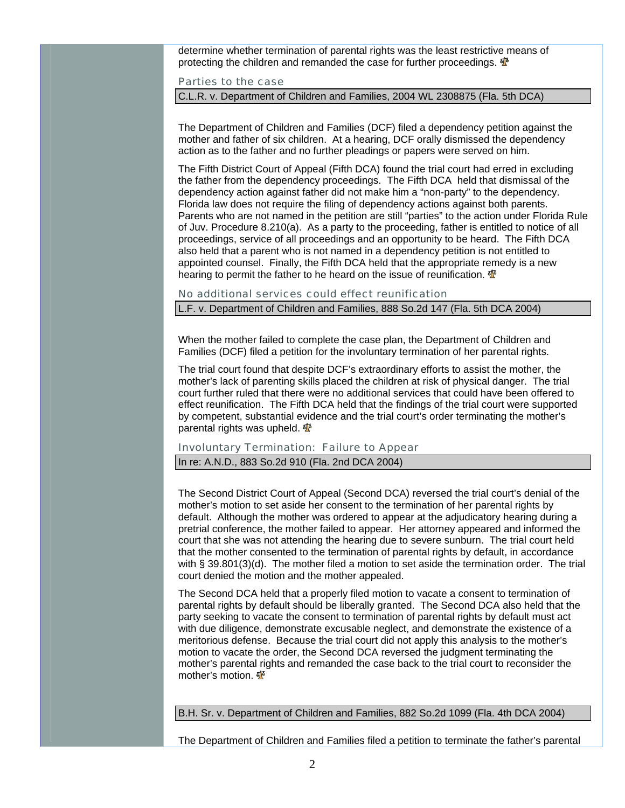determine whether termination of parental rights was the least restrictive means of protecting the children and remanded the case for further proceedings.  $\mathbf{\Phi}$ 

Parties to the case

C.L.R. v. Department of Children and Families, 2004 WL 2308875 (Fla. 5th DCA)

The Department of Children and Families (DCF) filed a dependency petition against the mother and father of six children. At a hearing, DCF orally dismissed the dependency action as to the father and no further pleadings or papers were served on him.

The Fifth District Court of Appeal (Fifth DCA) found the trial court had erred in excluding the father from the dependency proceedings. The Fifth DCA held that dismissal of the dependency action against father did not make him a "non-party" to the dependency. Florida law does not require the filing of dependency actions against both parents. Parents who are not named in the petition are still "parties" to the action under Florida Rule of Juv. Procedure 8.210(a). As a party to the proceeding, father is entitled to notice of all proceedings, service of all proceedings and an opportunity to be heard. The Fifth DCA also held that a parent who is not named in a dependency petition is not entitled to appointed counsel. Finally, the Fifth DCA held that the appropriate remedy is a new hearing to permit the father to he heard on the issue of reunification.  $\mathbf{\Phi}$ 

No additional services could effect reunification L.F. v. Department of Children and Families, 888 So.2d 147 (Fla. 5th DCA 2004)

When the mother failed to complete the case plan, the Department of Children and Families (DCF) filed a petition for the involuntary termination of her parental rights.

The trial court found that despite DCF's extraordinary efforts to assist the mother, the mother's lack of parenting skills placed the children at risk of physical danger. The trial court further ruled that there were no additional services that could have been offered to effect reunification. The Fifth DCA held that the findings of the trial court were supported by competent, substantial evidence and the trial court's order terminating the mother's parental rights was upheld. <a>

#### Involuntary Termination: Failure to Appear

In re: A.N.D., 883 So.2d 910 (Fla. 2nd DCA 2004)

The Second District Court of Appeal (Second DCA) reversed the trial court's denial of the mother's motion to set aside her consent to the termination of her parental rights by default. Although the mother was ordered to appear at the adjudicatory hearing during a pretrial conference, the mother failed to appear. Her attorney appeared and informed the court that she was not attending the hearing due to severe sunburn. The trial court held that the mother consented to the termination of parental rights by default, in accordance with § 39.801(3)(d). The mother filed a motion to set aside the termination order. The trial court denied the motion and the mother appealed.

The Second DCA held that a properly filed motion to vacate a consent to termination of parental rights by default should be liberally granted. The Second DCA also held that the party seeking to vacate the consent to termination of parental rights by default must act with due diligence, demonstrate excusable neglect, and demonstrate the existence of a meritorious defense. Because the trial court did not apply this analysis to the mother's motion to vacate the order, the Second DCA reversed the judgment terminating the mother's parental rights and remanded the case back to the trial court to reconsider the mother's motion.

B.H. Sr. v. Department of Children and Families, 882 So.2d 1099 (Fla. 4th DCA 2004)

The Department of Children and Families filed a petition to terminate the father's parental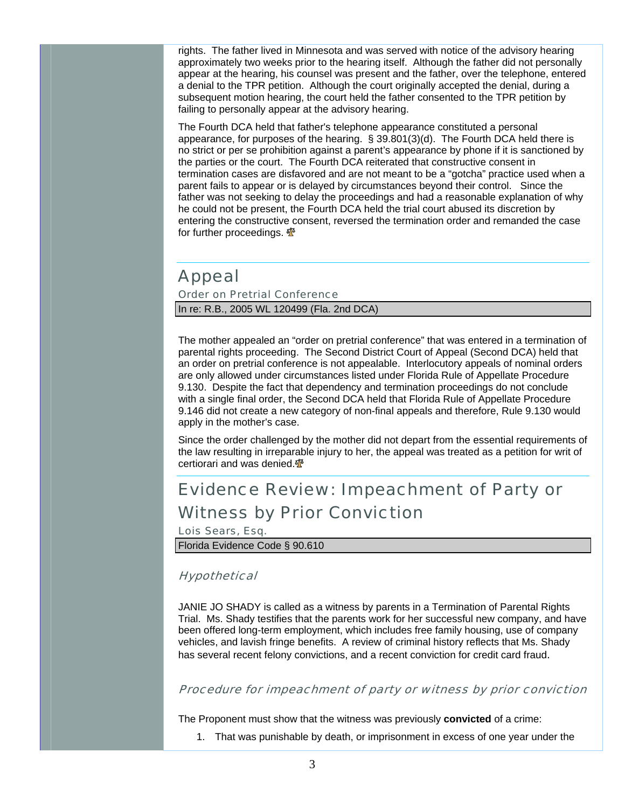rights. The father lived in Minnesota and was served with notice of the advisory hearing approximately two weeks prior to the hearing itself. Although the father did not personally appear at the hearing, his counsel was present and the father, over the telephone, entered a denial to the TPR petition. Although the court originally accepted the denial, during a subsequent motion hearing, the court held the father consented to the TPR petition by failing to personally appear at the advisory hearing.

The Fourth DCA held that father's telephone appearance constituted a personal appearance, for purposes of the hearing. § 39.801(3)(d). The Fourth DCA held there is no strict or per se prohibition against a parent's appearance by phone if it is sanctioned by the parties or the court. The Fourth DCA reiterated that constructive consent in termination cases are disfavored and are not meant to be a "gotcha" practice used when a parent fails to appear or is delayed by circumstances beyond their control. Since the father was not seeking to delay the proceedings and had a reasonable explanation of why he could not be present, the Fourth DCA held the trial court abused its discretion by entering the constructive consent, reversed the termination order and remanded the case for further proceedings.  $\Phi$ 

### Appeal

Order on Pretrial Conference In re: R.B., 2005 WL 120499 (Fla. 2nd DCA)

The mother appealed an "order on pretrial conference" that was entered in a termination of parental rights proceeding. The Second District Court of Appeal (Second DCA) held that an order on pretrial conference is not appealable. Interlocutory appeals of nominal orders are only allowed under circumstances listed under Florida Rule of Appellate Procedure 9.130. Despite the fact that dependency and termination proceedings do not conclude with a single final order, the Second DCA held that Florida Rule of Appellate Procedure 9.146 did not create a new category of non-final appeals and therefore, Rule 9.130 would apply in the mother's case.

Since the order challenged by the mother did not depart from the essential requirements of the law resulting in irreparable injury to her, the appeal was treated as a petition for writ of certiorari and was denied.

# Evidence Review: Impeachment of Party or Witness by Prior Conviction

Lois Sears, Esq. Florida Evidence Code § 90.610

#### **Hypothetical**

JANIE JO SHADY is called as a witness by parents in a Termination of Parental Rights Trial. Ms. Shady testifies that the parents work for her successful new company, and have been offered long-term employment, which includes free family housing, use of company vehicles, and lavish fringe benefits. A review of criminal history reflects that Ms. Shady has several recent felony convictions, and a recent conviction for credit card fraud.

#### Procedure for impeachment of party or witness by prior conviction

The Proponent must show that the witness was previously **convicted** of a crime:

1. That was punishable by death, or imprisonment in excess of one year under the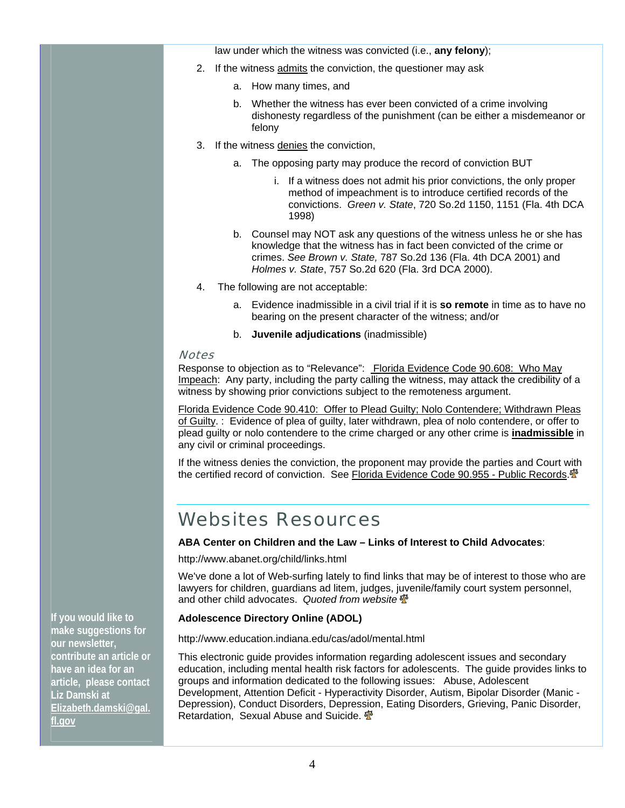law under which the witness was convicted (i.e., **any felony**);

- 2. If the witness admits the conviction, the questioner may ask
	- a. How many times, and
	- b. Whether the witness has ever been convicted of a crime involving dishonesty regardless of the punishment (can be either a misdemeanor or felony
- 3. If the witness denies the conviction,
	- a. The opposing party may produce the record of conviction BUT
		- i. If a witness does not admit his prior convictions, the only proper method of impeachment is to introduce certified records of the convictions. *Green v. State*, 720 So.2d 1150, 1151 (Fla. 4th DCA 1998)
	- b. Counsel may NOT ask any questions of the witness unless he or she has knowledge that the witness has in fact been convicted of the crime or crimes. *See Brown v. State,* 787 So.2d 136 (Fla. 4th DCA 2001) and *Holmes v. State*, 757 So.2d 620 (Fla. 3rd DCA 2000).
- 4. The following are not acceptable:
	- a. Evidence inadmissible in a civil trial if it is **so remote** in time as to have no bearing on the present character of the witness; and/or
	- b. **Juvenile adjudications** (inadmissible)

#### **Notes**

Response to objection as to "Relevance": Florida Evidence Code 90.608: Who May Impeach: Any party, including the party calling the witness, may attack the credibility of a witness by showing prior convictions subject to the remoteness argument.

Florida Evidence Code 90.410: Offer to Plead Guilty; Nolo Contendere; Withdrawn Pleas of Guilty. : Evidence of plea of guilty, later withdrawn, plea of nolo contendere, or offer to plead guilty or nolo contendere to the crime charged or any other crime is **inadmissible** in any civil or criminal proceedings.

If the witness denies the conviction, the proponent may provide the parties and Court with the certified record of conviction. See Florida Evidence Code 90.955 - Public Records. <sup>Th</sup>

# Websites Resources

#### **ABA Center on Children and the Law – Links of Interest to Child Advocates**:

http://www.abanet.org/child/links.html

We've done a lot of Web-surfing lately to find links that may be of interest to those who are lawyers for children, guardians ad litem, judges, juvenile/family court system personnel, and other child advocates. *Quoted from website*

#### **Adolescence Directory Online (ADOL)**

http://www.education.indiana.edu/cas/adol/mental.html

This electronic guide provides information regarding adolescent issues and secondary education, including mental health risk factors for adolescents. The guide provides links to groups and information dedicated to the following issues: Abuse, Adolescent Development, Attention Deficit - Hyperactivity Disorder, Autism, Bipolar Disorder (Manic - Depression), Conduct Disorders, Depression, Eating Disorders, Grieving, Panic Disorder, Retardation, Sexual Abuse and Suicide.  $\frac{4}{3}$ 

**If you would like to make suggestions for our newsletter, contribute an article or have an idea for an article, please contact Liz Damski at Elizabeth.damski@gal. fl.gov**